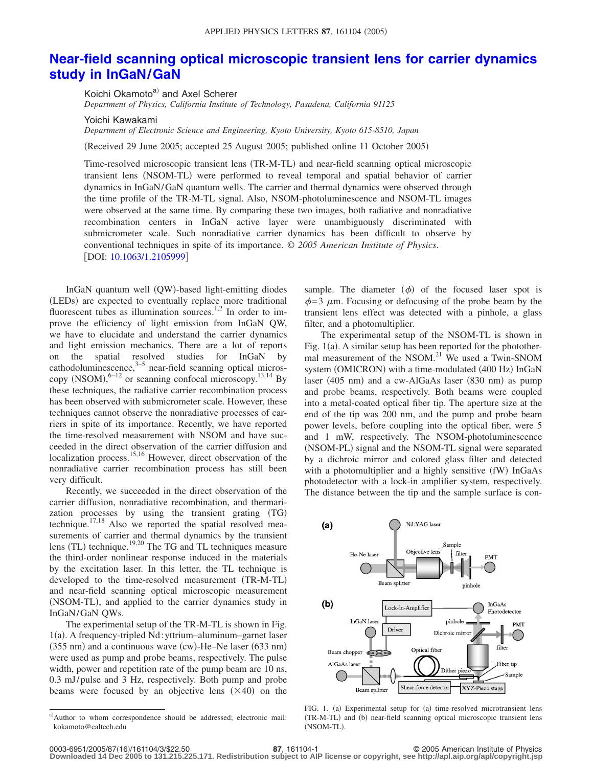## **[Near-field scanning optical microscopic transient lens for carrier dynamics](http://dx.doi.org/10.1063/1.2105999) [study in InGaN/GaN](http://dx.doi.org/10.1063/1.2105999)**

Koichi Okamoto<sup>a)</sup> and Axel Scherer *Department of Physics, California Institute of Technology, Pasadena, California 91125*

Yoichi Kawakami

*Department of Electronic Science and Engineering, Kyoto University, Kyoto 615-8510, Japan*

Received 29 June 2005; accepted 25 August 2005; published online 11 October 2005-

Time-resolved microscopic transient lens (TR-M-TL) and near-field scanning optical microscopic transient lens (NSOM-TL) were performed to reveal temporal and spatial behavior of carrier dynamics in InGaN/GaN quantum wells. The carrier and thermal dynamics were observed through the time profile of the TR-M-TL signal. Also, NSOM-photoluminescence and NSOM-TL images were observed at the same time. By comparing these two images, both radiative and nonradiative recombination centers in InGaN active layer were unambiguously discriminated with submicrometer scale. Such nonradiative carrier dynamics has been difficult to observe by conventional techniques in spite of its importance. © *2005 American Institute of Physics*. [DOI: [10.1063/1.2105999](http://dx.doi.org/10.1063/1.2105999)]

InGaN quantum well (QW)-based light-emitting diodes (LEDs) are expected to eventually replace more traditional fluorescent tubes as illumination sources.<sup>1,2</sup> In order to improve the efficiency of light emission from InGaN QW, we have to elucidate and understand the carrier dynamics and light emission mechanics. There are a lot of reports on the spatial resolved studies for InGaN by cathodoluminescence, $3\frac{3}{5}$  near-field scanning optical microscopy  $(NSOM)$ ,  $6-12$  or scanning confocal microscopy.<sup>13,14</sup> By these techniques, the radiative carrier recombination process has been observed with submicrometer scale. However, these techniques cannot observe the nonradiative processes of carriers in spite of its importance. Recently, we have reported the time-resolved measurement with NSOM and have succeeded in the direct observation of the carrier diffusion and localization process.<sup>15,16</sup> However, direct observation of the nonradiative carrier recombination process has still been very difficult.

Recently, we succeeded in the direct observation of the carrier diffusion, nonradiative recombination, and thermarization processes by using the transient grating (TG) technique.17,18 Also we reported the spatial resolved measurements of carrier and thermal dynamics by the transient lens (TL) technique.<sup>19,20</sup> The TG and TL techniques measure the third-order nonlinear response induced in the materials by the excitation laser. In this letter, the TL technique is developed to the time-resolved measurement (TR-M-TL) and near-field scanning optical microscopic measurement (NSOM-TL), and applied to the carrier dynamics study in InGaN/GaN QWs.

The experimental setup of the TR-M-TL is shown in Fig. 1(a). A frequency-tripled Nd: yttrium-aluminum-garnet laser (355 nm) and a continuous wave (cw)-He-Ne laser (633 nm) were used as pump and probe beams, respectively. The pulse width, power and repetition rate of the pump beam are 10 ns, 0.3 mJ/ pulse and 3 Hz, respectively. Both pump and probe beams were focused by an objective lens  $(\times 40)$  on the

sample. The diameter  $(\phi)$  of the focused laser spot is  $\phi$ =3  $\mu$ m. Focusing or defocusing of the probe beam by the transient lens effect was detected with a pinhole, a glass filter, and a photomultiplier.

The experimental setup of the NSOM-TL is shown in Fig. 1(a). A similar setup has been reported for the photothermal measurement of the NSOM.<sup>21</sup> We used a Twin-SNOM system (OMICRON) with a time-modulated (400 Hz) InGaN laser (405 nm) and a cw-AlGaAs laser (830 nm) as pump and probe beams, respectively. Both beams were coupled into a metal-coated optical fiber tip. The aperture size at the end of the tip was 200 nm, and the pump and probe beam power levels, before coupling into the optical fiber, were 5 and 1 mW, respectively. The NSOM-photoluminescence (NSOM-PL) signal and the NSOM-TL signal were separated by a dichroic mirror and colored glass filter and detected with a photomultiplier and a highly sensitive (fW) InGaAs photodetector with a lock-in amplifier system, respectively. The distance between the tip and the sample surface is con-



FIG. 1. (a) Experimental setup for (a) time-resolved microtransient lens (TR-M-TL) and (b) near-field scanning optical microscopic transient lens (NSOM-TL).

**Downloaded 14 Dec 2005 to 131.215.225.171. Redistribution subject to AIP license or copyright, see http://apl.aip.org/apl/copyright.jsp**

a)Author to whom correspondence should be addressed; electronic mail: kokamoto@caltech.edu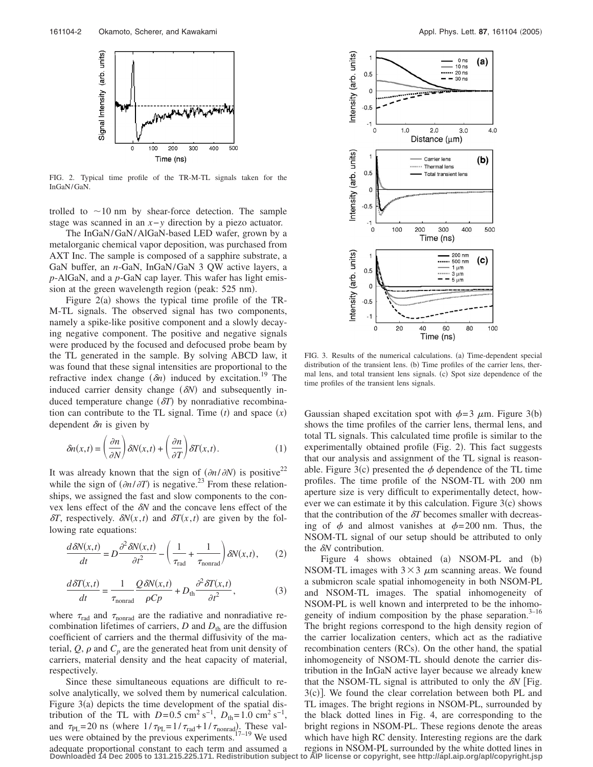

FIG. 2. Typical time profile of the TR-M-TL signals taken for the InGaN/GaN.

trolled to  $\sim$ 10 nm by shear-force detection. The sample stage was scanned in an *x*−*y* direction by a piezo actuator.

The InGaN/GaN/AlGaN-based LED wafer, grown by a metalorganic chemical vapor deposition, was purchased from AXT Inc. The sample is composed of a sapphire substrate, a GaN buffer, an *n*-GaN, InGaN/GaN 3 QW active layers, a *p*-AlGaN, and a *p*-GaN cap layer. This wafer has light emission at the green wavelength region (peak: 525 nm).

Figure  $2(a)$  shows the typical time profile of the TR-M-TL signals. The observed signal has two components, namely a spike-like positive component and a slowly decaying negative component. The positive and negative signals were produced by the focused and defocused probe beam by the TL generated in the sample. By solving ABCD law, it was found that these signal intensities are proportional to the refractive index change  $(\delta n)$  induced by excitation.<sup>19</sup> The induced carrier density change  $(\delta N)$  and subsequently induced temperature change  $(\delta T)$  by nonradiative recombination can contribute to the TL signal. Time  $(t)$  and space  $(x)$ dependent  $\delta n$  is given by

$$
\delta n(x,t) = \left(\frac{\partial n}{\partial N}\right) \delta N(x,t) + \left(\frac{\partial n}{\partial T}\right) \delta T(x,t). \tag{1}
$$

It was already known that the sign of  $(\partial n / \partial N)$  is positive<sup>22</sup> while the sign of  $\left(\frac{\partial n}{\partial T}\right)$  is negative.<sup>23</sup> From these relationships, we assigned the fast and slow components to the convex lens effect of the  $\delta N$  and the concave lens effect of the  $\delta T$ , respectively.  $\delta N(x,t)$  and  $\delta T(x,t)$  are given by the following rate equations:

$$
\frac{d\delta N(x,t)}{dt} = D \frac{\partial^2 \delta N(x,t)}{\partial t^2} - \left(\frac{1}{\tau_{\text{rad}}} + \frac{1}{\tau_{\text{nonrad}}}\right) \delta N(x,t), \qquad (2)
$$

$$
\frac{d\delta T(x,t)}{dt} = \frac{1}{\tau_{\text{nonrad}}} \frac{Q\delta N(x,t)}{\rho C p} + D_{\text{th}} \frac{\partial^2 \delta T(x,t)}{\partial t^2},\tag{3}
$$

where  $\tau_{rad}$  and  $\tau_{nonrad}$  are the radiative and nonradiative recombination lifetimes of carriers,  $D$  and  $D_{th}$  are the diffusion coefficient of carriers and the thermal diffusivity of the material,  $Q$ ,  $\rho$  and  $C_p$  are the generated heat from unit density of carriers, material density and the heat capacity of material, respectively.

Since these simultaneous equations are difficult to resolve analytically, we solved them by numerical calculation. Figure 3(a) depicts the time development of the spatial distribution of the TL with  $D=0.5$  cm<sup>2</sup> s<sup>-1</sup>,  $D_{th}=1.0$  cm<sup>2</sup> s<sup>-1</sup>, and  $\tau_{PL}$ =20 ns (where  $1/\tau_{PL}$ =1/ $\tau_{rad}$ +1/ $\tau_{nonrad}$ ). These values were obtained by the previous experiments.<sup>17–19</sup> We used adequate proportional constant to each term and assumed a **Downloaded 14 Dec 2005 to 131.215.225.171. Redistribution subject to AIP license or copyright, see http://apl.aip.org/apl/copyright.jsp**



FIG. 3. Results of the numerical calculations. (a) Time-dependent special distribution of the transient lens. (b) Time profiles of the carrier lens, thermal lens, and total transient lens signals. (c) Spot size dependence of the time profiles of the transient lens signals.

Gaussian shaped excitation spot with  $\phi = 3 \mu m$ . Figure 3(b) shows the time profiles of the carrier lens, thermal lens, and total TL signals. This calculated time profile is similar to the experimentally obtained profile (Fig. 2). This fact suggests that our analysis and assignment of the TL signal is reasonable. Figure 3(c) presented the  $\phi$  dependence of the TL time profiles. The time profile of the NSOM-TL with 200 nm aperture size is very difficult to experimentally detect, however we can estimate it by this calculation. Figure  $3(c)$  shows that the contribution of the  $\delta T$  becomes smaller with decreasing of  $\phi$  and almost vanishes at  $\phi = 200$  nm. Thus, the NSOM-TL signal of our setup should be attributed to only the  $\delta N$  contribution.

Figure 4 shows obtained (a) NSOM-PL and (b) NSOM-TL images with  $3\times3$   $\mu$ m scanning areas. We found a submicron scale spatial inhomogeneity in both NSOM-PL and NSOM-TL images. The spatial inhomogeneity of NSOM-PL is well known and interpreted to be the inhomogeneity of indium composition by the phase separation. $3-16$ The bright regions correspond to the high density region of the carrier localization centers, which act as the radiative recombination centers (RCs). On the other hand, the spatial inhomogeneity of NSOM-TL should denote the carrier distribution in the InGaN active layer because we already knew that the NSOM-TL signal is attributed to only the  $\delta N$  [Fig. 3(c)]. We found the clear correlation between both PL and TL images. The bright regions in NSOM-PL, surrounded by the black dotted lines in Fig. 4, are corresponding to the bright regions in NSOM-PL. These regions denote the areas which have high RC density. Interesting regions are the dark regions in NSOM-PL surrounded by the white dotted lines in